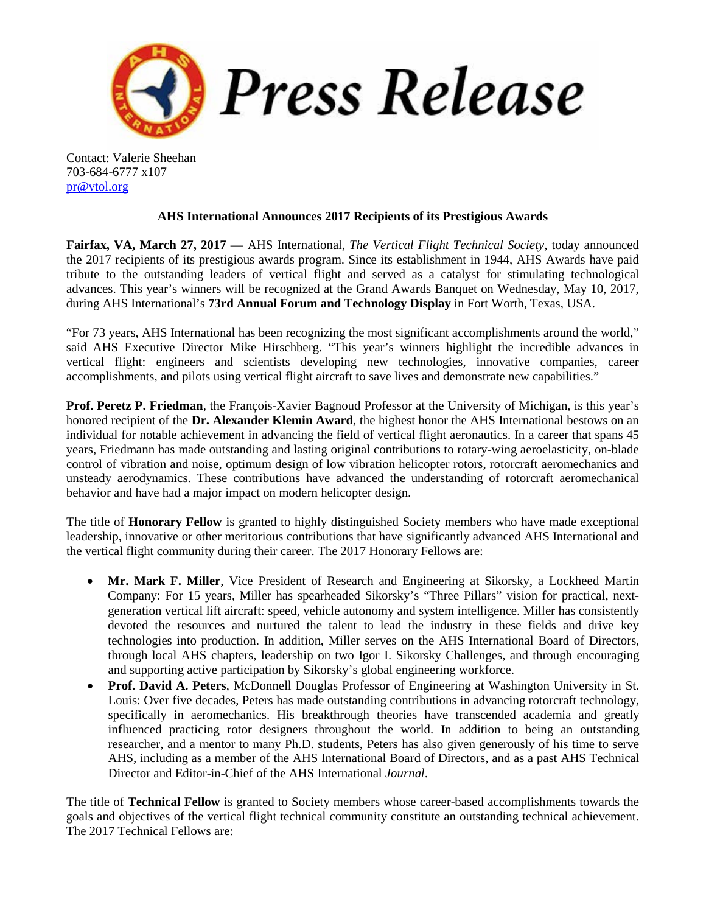

Contact: Valerie Sheehan 703-684-6777 x107 [pr@vtol.org](mailto:pr@vtol.org)

## **AHS International Announces 2017 Recipients of its Prestigious Awards**

**Fairfax, VA, March 27, 2017** — AHS International, *The Vertical Flight Technical Society,* today announced the 2017 recipients of its prestigious awards program. Since its establishment in 1944, AHS Awards have paid tribute to the outstanding leaders of vertical flight and served as a catalyst for stimulating technological advances. This year's winners will be recognized at the Grand Awards Banquet on Wednesday, May 10, 2017, during AHS International's **73rd Annual Forum and Technology Display** in Fort Worth, Texas, USA.

"For 73 years, AHS International has been recognizing the most significant accomplishments around the world," said AHS Executive Director Mike Hirschberg. "This year's winners highlight the incredible advances in vertical flight: engineers and scientists developing new technologies, innovative companies, career accomplishments, and pilots using vertical flight aircraft to save lives and demonstrate new capabilities."

**Prof. Peretz P. Friedman**, the François-Xavier Bagnoud Professor at the University of Michigan, is this year's honored recipient of the **Dr. Alexander Klemin Award**, the highest honor the AHS International bestows on an individual for notable achievement in advancing the field of vertical flight aeronautics. In a career that spans 45 years, Friedmann has made outstanding and lasting original contributions to rotary-wing aeroelasticity, on-blade control of vibration and noise, optimum design of low vibration helicopter rotors, rotorcraft aeromechanics and unsteady aerodynamics. These contributions have advanced the understanding of rotorcraft aeromechanical behavior and have had a major impact on modern helicopter design.

The title of **Honorary Fellow** is granted to highly distinguished Society members who have made exceptional leadership, innovative or other meritorious contributions that have significantly advanced AHS International and the vertical flight community during their career. The 2017 Honorary Fellows are:

- **Mr. Mark F. Miller**, Vice President of Research and Engineering at Sikorsky, a Lockheed Martin Company: For 15 years, Miller has spearheaded Sikorsky's "Three Pillars" vision for practical, nextgeneration vertical lift aircraft: speed, vehicle autonomy and system intelligence. Miller has consistently devoted the resources and nurtured the talent to lead the industry in these fields and drive key technologies into production. In addition, Miller serves on the AHS International Board of Directors, through local AHS chapters, leadership on two Igor I. Sikorsky Challenges, and through encouraging and supporting active participation by Sikorsky's global engineering workforce.
- **Prof. David A. Peters**, McDonnell Douglas Professor of Engineering at Washington University in St. Louis: Over five decades, Peters has made outstanding contributions in advancing rotorcraft technology, specifically in aeromechanics. His breakthrough theories have transcended academia and greatly influenced practicing rotor designers throughout the world. In addition to being an outstanding researcher, and a mentor to many Ph.D. students, Peters has also given generously of his time to serve AHS, including as a member of the AHS International Board of Directors, and as a past AHS Technical Director and Editor-in-Chief of the AHS International *Journal*.

The title of **Technical Fellow** is granted to Society members whose career-based accomplishments towards the goals and objectives of the vertical flight technical community constitute an outstanding technical achievement. The 2017 Technical Fellows are: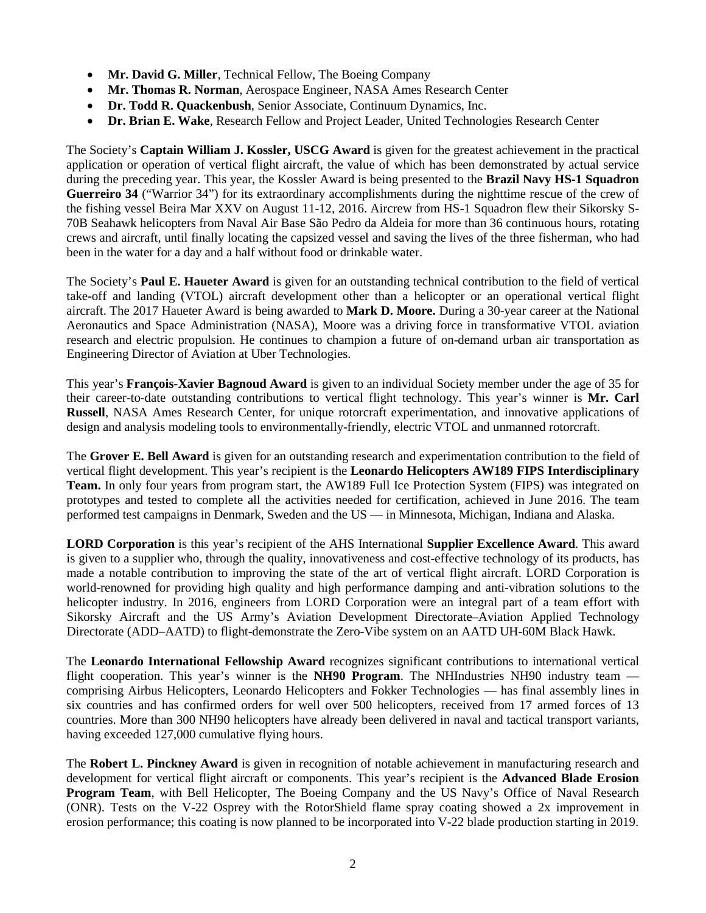- **Mr. David G. Miller**, Technical Fellow, The Boeing Company
- **Mr. Thomas R. Norman**, Aerospace Engineer, NASA Ames Research Center
- **Dr. Todd R. Quackenbush**, Senior Associate, Continuum Dynamics, Inc.
- **Dr. Brian E. Wake**, Research Fellow and Project Leader, United Technologies Research Center

The Society's **Captain William J. Kossler, USCG Award** is given for the greatest achievement in the practical application or operation of vertical flight aircraft, the value of which has been demonstrated by actual service during the preceding year. This year, the Kossler Award is being presented to the **Brazil Navy HS-1 Squadron Guerreiro 34** ("Warrior 34") for its extraordinary accomplishments during the nighttime rescue of the crew of the fishing vessel Beira Mar XXV on August 11-12, 2016. Aircrew from HS-1 Squadron flew their Sikorsky S-70B Seahawk helicopters from Naval Air Base São Pedro da Aldeia for more than 36 continuous hours, rotating crews and aircraft, until finally locating the capsized vessel and saving the lives of the three fisherman, who had been in the water for a day and a half without food or drinkable water.

The Society's **Paul E. Haueter Award** is given for an outstanding technical contribution to the field of vertical take-off and landing (VTOL) aircraft development other than a helicopter or an operational vertical flight aircraft. The 2017 Haueter Award is being awarded to **Mark D. Moore.** During a 30-year career at the National Aeronautics and Space Administration (NASA), Moore was a driving force in transformative VTOL aviation research and electric propulsion. He continues to champion a future of on-demand urban air transportation as Engineering Director of Aviation at Uber Technologies.

This year's **François-Xavier Bagnoud Award** is given to an individual Society member under the age of 35 for their career-to-date outstanding contributions to vertical flight technology. This year's winner is **Mr. Carl Russell**, NASA Ames Research Center, for unique rotorcraft experimentation, and innovative applications of design and analysis modeling tools to environmentally-friendly, electric VTOL and unmanned rotorcraft.

The **Grover E. Bell Award** is given for an outstanding research and experimentation contribution to the field of vertical flight development. This year's recipient is the **Leonardo Helicopters AW189 FIPS Interdisciplinary Team.** In only four years from program start, the AW189 Full Ice Protection System (FIPS) was integrated on prototypes and tested to complete all the activities needed for certification, achieved in June 2016. The team performed test campaigns in Denmark, Sweden and the US — in Minnesota, Michigan, Indiana and Alaska.

**LORD Corporation** is this year's recipient of the AHS International **Supplier Excellence Award**. This award is given to a supplier who, through the quality, innovativeness and cost-effective technology of its products, has made a notable contribution to improving the state of the art of vertical flight aircraft. LORD Corporation is world-renowned for providing high quality and high performance damping and anti-vibration solutions to the helicopter industry. In 2016, engineers from LORD Corporation were an integral part of a team effort with Sikorsky Aircraft and the US Army's Aviation Development Directorate–Aviation Applied Technology Directorate (ADD–AATD) to flight-demonstrate the Zero-Vibe system on an AATD UH-60M Black Hawk.

The **Leonardo International Fellowship Award** recognizes significant contributions to international vertical flight cooperation. This year's winner is the **NH90 Program**. The NHIndustries NH90 industry team comprising Airbus Helicopters, Leonardo Helicopters and Fokker Technologies — has final assembly lines in six countries and has confirmed orders for well over 500 helicopters, received from 17 armed forces of 13 countries. More than 300 NH90 helicopters have already been delivered in naval and tactical transport variants, having exceeded 127,000 cumulative flying hours.

The **Robert L. Pinckney Award** is given in recognition of notable achievement in manufacturing research and development for vertical flight aircraft or components. This year's recipient is the **Advanced Blade Erosion Program Team**, with Bell Helicopter, The Boeing Company and the US Navy's Office of Naval Research (ONR). Tests on the V-22 Osprey with the RotorShield flame spray coating showed a 2x improvement in erosion performance; this coating is now planned to be incorporated into V-22 blade production starting in 2019.